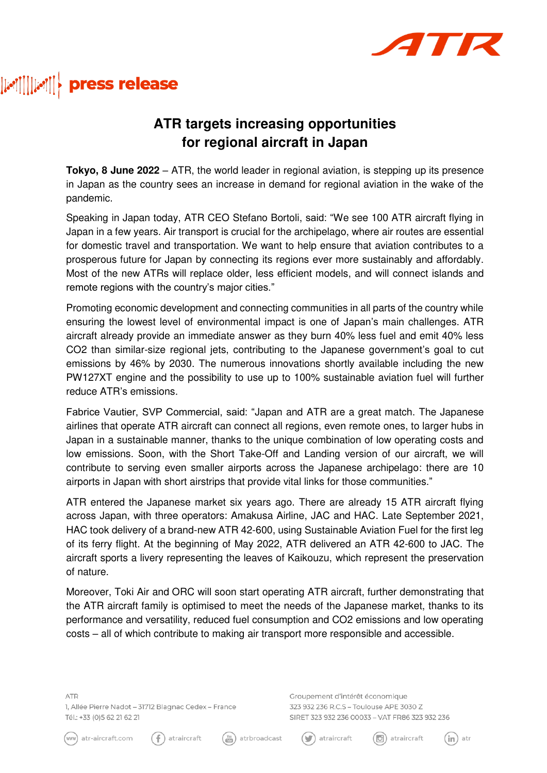

## 

## **ATR targets increasing opportunities for regional aircraft in Japan**

**Tokyo, 8 June 2022** – ATR, the world leader in regional aviation, is stepping up its presence in Japan as the country sees an increase in demand for regional aviation in the wake of the pandemic.

Speaking in Japan today, ATR CEO Stefano Bortoli, said: "We see 100 ATR aircraft flying in Japan in a few years. Air transport is crucial for the archipelago, where air routes are essential for domestic travel and transportation. We want to help ensure that aviation contributes to a prosperous future for Japan by connecting its regions ever more sustainably and affordably. Most of the new ATRs will replace older, less efficient models, and will connect islands and remote regions with the country's major cities."

Promoting economic development and connecting communities in all parts of the country while ensuring the lowest level of environmental impact is one of Japan's main challenges. ATR aircraft already provide an immediate answer as they burn 40% less fuel and emit 40% less CO2 than similar-size regional jets, contributing to the Japanese government's goal to cut emissions by 46% by 2030. The numerous innovations shortly available including the new PW127XT engine and the possibility to use up to 100% sustainable aviation fuel will further reduce ATR's emissions.

Fabrice Vautier, SVP Commercial, said: "Japan and ATR are a great match. The Japanese airlines that operate ATR aircraft can connect all regions, even remote ones, to larger hubs in Japan in a sustainable manner, thanks to the unique combination of low operating costs and low emissions. Soon, with the Short Take-Off and Landing version of our aircraft, we will contribute to serving even smaller airports across the Japanese archipelago: there are 10 airports in Japan with short airstrips that provide vital links for those communities."

ATR entered the Japanese market six years ago. There are already 15 ATR aircraft flying across Japan, with three operators: Amakusa Airline, JAC and HAC. Late September 2021, HAC took delivery of a brand-new ATR 42-600, using Sustainable Aviation Fuel for the first leg of its ferry flight. At the beginning of May 2022, ATR delivered an ATR 42-600 to JAC. The aircraft sports a livery representing the leaves of Kaikouzu, which represent the preservation of nature.

Moreover, Toki Air and ORC will soon start operating ATR aircraft, further demonstrating that the ATR aircraft family is optimised to meet the needs of the Japanese market, thanks to its performance and versatility, reduced fuel consumption and CO2 emissions and low operating costs – all of which contribute to making air transport more responsible and accessible.

**ATR** 1, Allée Pierre Nadot - 31712 Blagnac Cedex - France Tél.: +33 (0)5 62 21 62 21

 $(f)$ 

Groupement d'intérêt économique 323 932 236 R.C.S - Toulouse APE 3030 Z SIRET 323 932 236 00033 - VAT FR86 323 932 236









 $(\cup)$ 



 $(\mathsf{in})$  atr